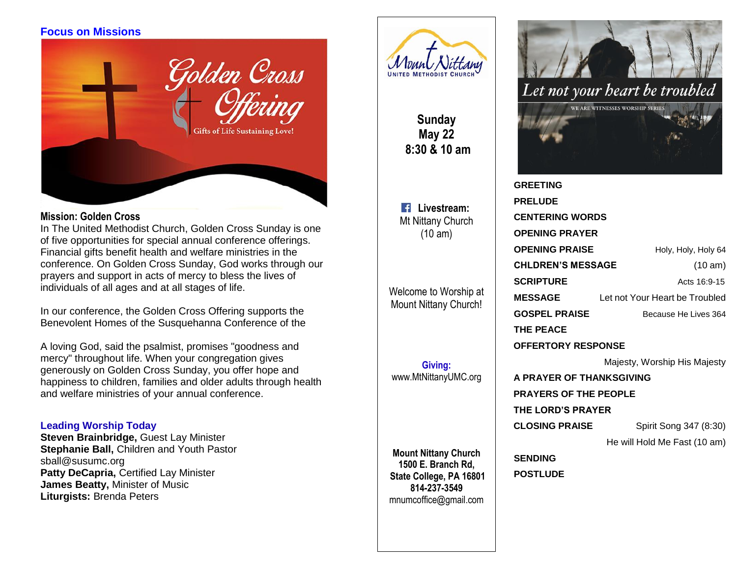# **Focus on Missions**



### **Mission: Golden Cross**

In The United Methodist Church, Golden Cross Sunday is one of five opportunities for special annual conference offerings. Financial gifts benefit health and welfare ministries in the conference. On Golden Cross Sunday, God works through our prayers and support in acts of mercy to bless the lives of individuals of all ages and at all stages of life.

In our conference, the Golden Cross Offering supports the Benevolent Homes of the Susquehanna Conference of the

A loving God, said the psalmist, promises "goodness and mercy" throughout life. When your congregation gives generously on Golden Cross Sunday, you offer hope and happiness to children, families and older adults through health and welfare ministries of your annual conference.

### **Leading Worship Today**

**Steven Brainbridge,** Guest Lay Minister **Stephanie Ball,** Children and Youth Pastor sball@susumc.org **Patty DeCapria,** Certified Lay Minister **James Beatty,** Minister of Music **Liturgists:** Brenda Peters



**Sunday May 22 8:30 & 10 am**

**Livestream:** Mt Nittany Church (10 am)

Welcome to Worship at Mount Nittany Church!

**Giving:** [www.MtNittanyUMC.org](http://www.mtnittanyumc.org/)

**Mount Nittany Church 1500 E. Branch Rd, State College, PA 16801 814-237-3549** [mnumcoffice@gmail.com](mailto:mnumcoffice@gmail.com)

**POSTLUDE**



| <b>GREETING</b>              |                                |
|------------------------------|--------------------------------|
| <b>PRELUDE</b>               |                                |
| <b>CENTERING WORDS</b>       |                                |
| <b>OPENING PRAYER</b>        |                                |
| <b>OPENING PRAISE</b>        | Holy, Holy, Holy 64            |
| <b>CHLDREN'S MESSAGE</b>     | (10 am)                        |
| <b>SCRIPTURE</b>             | Acts 16:9-15                   |
| <b>MESSAGE</b>               | Let not Your Heart be Troubled |
| <b>GOSPEL PRAISE</b>         | Because He Lives 364           |
| THE PEACE                    |                                |
| <b>OFFERTORY RESPONSE</b>    |                                |
|                              | Majesty, Worship His Majesty   |
| A PRAYER OF THANKSGIVING     |                                |
| <b>PRAYERS OF THE PEOPLE</b> |                                |
| THE LORD'S PRAYER            |                                |
| <b>CLOSING PRAISE</b>        | Spirit Song 347 (8:30)         |
|                              | He will Hold Me Fast (10 am)   |
| <b>SENDING</b>               |                                |